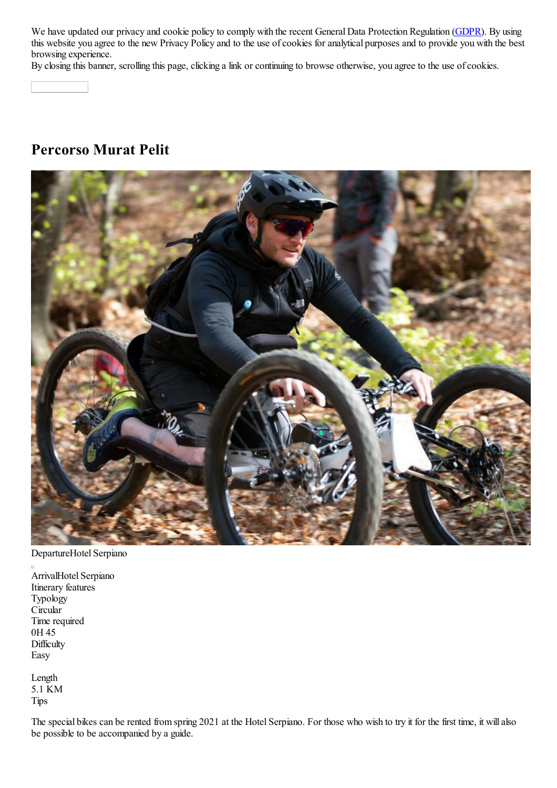We have updated our privacy and cookie policy to comply with the recent General Data Protection Regulation (GDPR). By using this website you agree to the new Privacy Policy and to the use of cookies for analytical purposes and to provide you with the best browsing experience.

By closing this banner, scrolling this page, clicking a link or continuing to browse otherwise, you agree to the use of cookies.

# **Percorso Murat Pelit**



DepartureHotel Serpiano

ArrivalHotel Serpiano Itinerary features Typology Circular Time required 0H 45 **Difficulty** Easy

Length 5.1 KM Tips

The special bikes can be rented from spring 2021 at the Hotel Serpiano. For those who wish to try it for the first time, it will also be possible to be accompanied by a guide.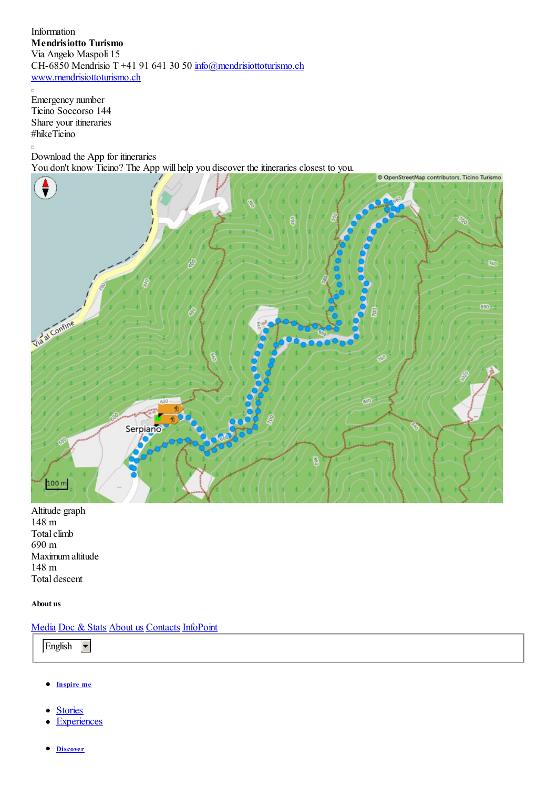Information **Mendrisiotto Turismo** Via Angelo Maspoli 15 CH-6850 Mendrisio T +41 91 641 30 50 info@mendrisiottoturismo.ch www.mendrisiottoturismo.ch

 $\Box$ Emergency number Ticino Soccorso 144 Share your itineraries #hikeTicino

 $\Box$ Download the App for itineraries You don't know Ticino? The App will help you discover the itineraries closest to you.



Altitude graph 148 m Total climb 690 m Maximum altitude 148 m Total descent

### **About us**

## Media Doc & Stats About us Contacts InfoPoint

English  $\blacktriangledown$ 

- **Inspire me**  $\bullet$
- **Stories**  $\bullet$
- **Experiences**
- **Discover**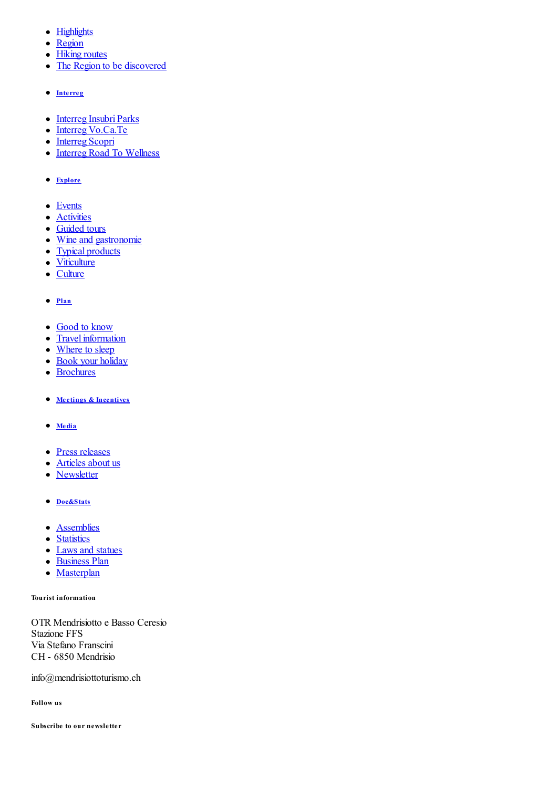- Highlights
- Region
- Hiking routes
- The Region to be discovered
- **Interreg**
- Interreg Insubri Parks
- Interreg Vo.Ca.Te
- Interreg Scopri
- Interreg Road To Wellness
- **Explore**
- Events
- Activities
- Guided tours
- Wine and gastronomie
- Typical products
- Viticulture
- Culture

### **Plan**

- Good to know
- Travel information
- Where to sleep
- Book your holiday
- Brochures
- **Meetings & Incentives**
- **Media**
- Press releases
- Articles about us
- Newsletter
- **Doc&Stats**
- **•** Assemblies
- Statistics
- Laws and statues
- Business Plan
- Masterplan

#### **Tourist information**

OTR Mendrisiotto e Basso Ceresio Stazione FFS Via Stefano Franscini CH - 6850 Mendrisio

info@mendrisiottoturismo.ch

**Follow us**

**Subscribe to our newsletter**